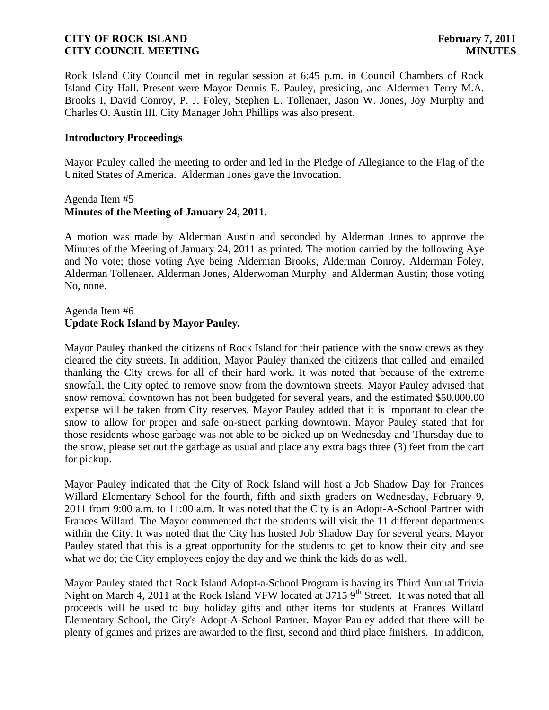Rock Island City Council met in regular session at 6:45 p.m. in Council Chambers of Rock Island City Hall. Present were Mayor Dennis E. Pauley, presiding, and Aldermen Terry M.A. Brooks I, David Conroy, P. J. Foley, Stephen L. Tollenaer, Jason W. Jones, Joy Murphy and Charles O. Austin III. City Manager John Phillips was also present.

#### **Introductory Proceedings**

Mayor Pauley called the meeting to order and led in the Pledge of Allegiance to the Flag of the United States of America. Alderman Jones gave the Invocation.

#### Agenda Item #5 **Minutes of the Meeting of January 24, 2011.**

A motion was made by Alderman Austin and seconded by Alderman Jones to approve the Minutes of the Meeting of January 24, 2011 as printed. The motion carried by the following Aye and No vote; those voting Aye being Alderman Brooks, Alderman Conroy, Alderman Foley, Alderman Tollenaer, Alderman Jones, Alderwoman Murphy and Alderman Austin; those voting No, none.

#### Agenda Item #6 **Update Rock Island by Mayor Pauley.**

Mayor Pauley thanked the citizens of Rock Island for their patience with the snow crews as they cleared the city streets. In addition, Mayor Pauley thanked the citizens that called and emailed thanking the City crews for all of their hard work. It was noted that because of the extreme snowfall, the City opted to remove snow from the downtown streets. Mayor Pauley advised that snow removal downtown has not been budgeted for several years, and the estimated \$50,000.00 expense will be taken from City reserves. Mayor Pauley added that it is important to clear the snow to allow for proper and safe on-street parking downtown. Mayor Pauley stated that for those residents whose garbage was not able to be picked up on Wednesday and Thursday due to the snow, please set out the garbage as usual and place any extra bags three (3) feet from the cart for pickup.

 Mayor Pauley indicated that the City of Rock Island will host a Job Shadow Day for Frances Willard Elementary School for the fourth, fifth and sixth graders on Wednesday, February 9, 2011 from 9:00 a.m. to 11:00 a.m. It was noted that the City is an Adopt-A-School Partner with Frances Willard. The Mayor commented that the students will visit the 11 different departments within the City. It was noted that the City has hosted Job Shadow Day for several years. Mayor Pauley stated that this is a great opportunity for the students to get to know their city and see what we do; the City employees enjoy the day and we think the kids do as well.

 Mayor Pauley stated that Rock Island Adopt-a-School Program is having its Third Annual Trivia Night on March 4, 2011 at the Rock Island VFW located at 3715  $9<sup>th</sup>$  Street. It was noted that all proceeds will be used to buy holiday gifts and other items for students at Frances Willard Elementary School, the City's Adopt-A-School Partner. Mayor Pauley added that there will be plenty of games and prizes are awarded to the first, second and third place finishers. In addition,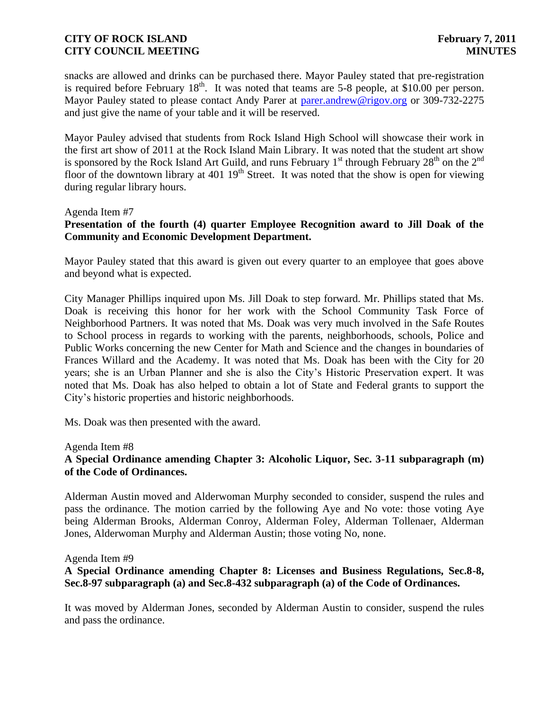snacks are allowed and drinks can be purchased there. Mayor Pauley stated that pre-registration is required before February  $18<sup>th</sup>$ . It was noted that teams are 5-8 people, at \$10.00 per person. Mayor Pauley stated to please contact Andy Parer at [parer.andrew@rigov.org](mailto:parer.andrew@rigov.org) or 309-732-2275 and just give the name of your table and it will be reserved.

 Mayor Pauley advised that students from Rock Island High School will showcase their work in the first art show of 2011 at the Rock Island Main Library. It was noted that the student art show is sponsored by the Rock Island Art Guild, and runs February  $1<sup>st</sup>$  through February  $28<sup>th</sup>$  on the  $2<sup>nd</sup>$ floor of the downtown library at 401  $19<sup>th</sup>$  Street. It was noted that the show is open for viewing during regular library hours.

#### Agenda Item #7

# **Presentation of the fourth (4) quarter Employee Recognition award to Jill Doak of the Community and Economic Development Department.**

Mayor Pauley stated that this award is given out every quarter to an employee that goes above and beyond what is expected.

City Manager Phillips inquired upon Ms. Jill Doak to step forward. Mr. Phillips stated that Ms. Doak is receiving this honor for her work with the School Community Task Force of Neighborhood Partners. It was noted that Ms. Doak was very much involved in the Safe Routes to School process in regards to working with the parents, neighborhoods, schools, Police and Public Works concerning the new Center for Math and Science and the changes in boundaries of Frances Willard and the Academy. It was noted that Ms. Doak has been with the City for 20 years; she is an Urban Planner and she is also the City's Historic Preservation expert. It was noted that Ms. Doak has also helped to obtain a lot of State and Federal grants to support the City's historic properties and historic neighborhoods.

Ms. Doak was then presented with the award.

Agenda Item #8

# **A Special Ordinance amending Chapter 3: Alcoholic Liquor, Sec. 3-11 subparagraph (m) of the Code of Ordinances.**

Alderman Austin moved and Alderwoman Murphy seconded to consider, suspend the rules and pass the ordinance. The motion carried by the following Aye and No vote: those voting Aye being Alderman Brooks, Alderman Conroy, Alderman Foley, Alderman Tollenaer, Alderman Jones, Alderwoman Murphy and Alderman Austin; those voting No, none.

#### Agenda Item #9

# **A Special Ordinance amending Chapter 8: Licenses and Business Regulations, Sec.8-8, Sec.8-97 subparagraph (a) and Sec.8-432 subparagraph (a) of the Code of Ordinances.**

It was moved by Alderman Jones, seconded by Alderman Austin to consider, suspend the rules and pass the ordinance.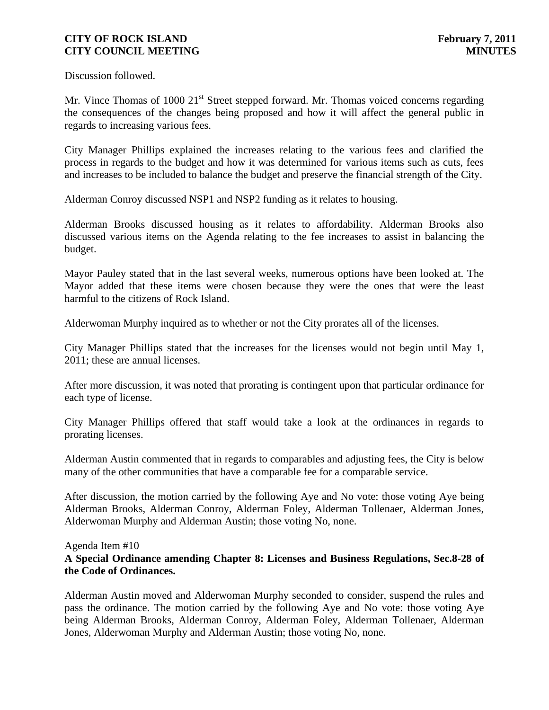Discussion followed.

Mr. Vince Thomas of 1000 21<sup>st</sup> Street stepped forward. Mr. Thomas voiced concerns regarding the consequences of the changes being proposed and how it will affect the general public in regards to increasing various fees.

City Manager Phillips explained the increases relating to the various fees and clarified the process in regards to the budget and how it was determined for various items such as cuts, fees and increases to be included to balance the budget and preserve the financial strength of the City.

Alderman Conroy discussed NSP1 and NSP2 funding as it relates to housing.

Alderman Brooks discussed housing as it relates to affordability. Alderman Brooks also discussed various items on the Agenda relating to the fee increases to assist in balancing the budget.

Mayor Pauley stated that in the last several weeks, numerous options have been looked at. The Mayor added that these items were chosen because they were the ones that were the least harmful to the citizens of Rock Island.

Alderwoman Murphy inquired as to whether or not the City prorates all of the licenses.

City Manager Phillips stated that the increases for the licenses would not begin until May 1, 2011; these are annual licenses.

After more discussion, it was noted that prorating is contingent upon that particular ordinance for each type of license.

City Manager Phillips offered that staff would take a look at the ordinances in regards to prorating licenses.

Alderman Austin commented that in regards to comparables and adjusting fees, the City is below many of the other communities that have a comparable fee for a comparable service.

After discussion, the motion carried by the following Aye and No vote: those voting Aye being Alderman Brooks, Alderman Conroy, Alderman Foley, Alderman Tollenaer, Alderman Jones, Alderwoman Murphy and Alderman Austin; those voting No, none.

#### Agenda Item #10

# **A Special Ordinance amending Chapter 8: Licenses and Business Regulations, Sec.8-28 of the Code of Ordinances.**

Alderman Austin moved and Alderwoman Murphy seconded to consider, suspend the rules and pass the ordinance. The motion carried by the following Aye and No vote: those voting Aye being Alderman Brooks, Alderman Conroy, Alderman Foley, Alderman Tollenaer, Alderman Jones, Alderwoman Murphy and Alderman Austin; those voting No, none.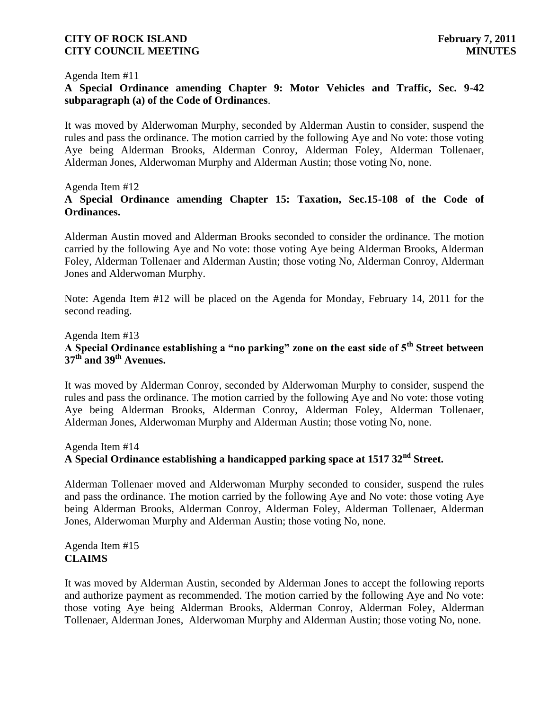#### Agenda Item #11

# **A Special Ordinance amending Chapter 9: Motor Vehicles and Traffic, Sec. 9-42 subparagraph (a) of the Code of Ordinances**.

It was moved by Alderwoman Murphy, seconded by Alderman Austin to consider, suspend the rules and pass the ordinance. The motion carried by the following Aye and No vote: those voting Aye being Alderman Brooks, Alderman Conroy, Alderman Foley, Alderman Tollenaer, Alderman Jones, Alderwoman Murphy and Alderman Austin; those voting No, none.

#### Agenda Item #12

# **A Special Ordinance amending Chapter 15: Taxation, Sec.15-108 of the Code of Ordinances.**

Alderman Austin moved and Alderman Brooks seconded to consider the ordinance. The motion carried by the following Aye and No vote: those voting Aye being Alderman Brooks, Alderman Foley, Alderman Tollenaer and Alderman Austin; those voting No, Alderman Conroy, Alderman Jones and Alderwoman Murphy.

Note: Agenda Item #12 will be placed on the Agenda for Monday, February 14, 2011 for the second reading.

#### Agenda Item #13 **A Special Ordinance establishing a "no parking" zone on the east side of 5th Street between 37th and 39th Avenues.**

It was moved by Alderman Conroy, seconded by Alderwoman Murphy to consider, suspend the rules and pass the ordinance. The motion carried by the following Aye and No vote: those voting Aye being Alderman Brooks, Alderman Conroy, Alderman Foley, Alderman Tollenaer, Alderman Jones, Alderwoman Murphy and Alderman Austin; those voting No, none.

#### Agenda Item #14

# **A Special Ordinance establishing a handicapped parking space at 1517 32nd Street.**

Alderman Tollenaer moved and Alderwoman Murphy seconded to consider, suspend the rules and pass the ordinance. The motion carried by the following Aye and No vote: those voting Aye being Alderman Brooks, Alderman Conroy, Alderman Foley, Alderman Tollenaer, Alderman Jones, Alderwoman Murphy and Alderman Austin; those voting No, none.

Agenda Item #15 **CLAIMS**

It was moved by Alderman Austin, seconded by Alderman Jones to accept the following reports and authorize payment as recommended. The motion carried by the following Aye and No vote: those voting Aye being Alderman Brooks, Alderman Conroy, Alderman Foley, Alderman Tollenaer, Alderman Jones, Alderwoman Murphy and Alderman Austin; those voting No, none.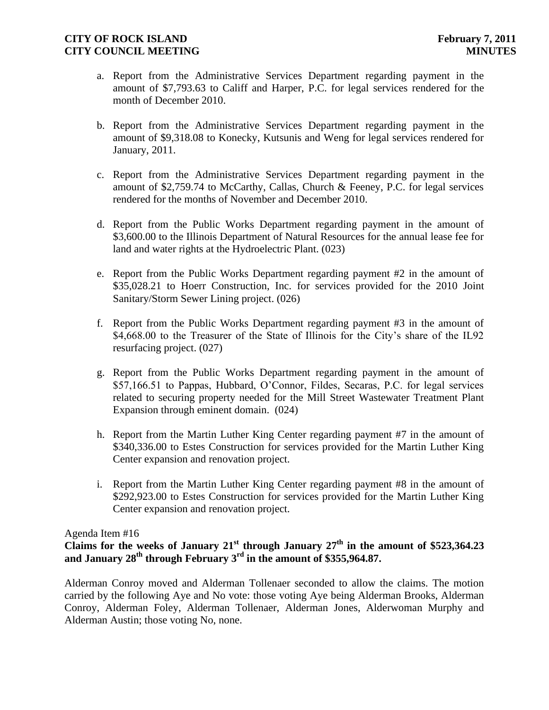- a. Report from the Administrative Services Department regarding payment in the amount of \$7,793.63 to Califf and Harper, P.C. for legal services rendered for the month of December 2010.
- b. Report from the Administrative Services Department regarding payment in the amount of \$9,318.08 to Konecky, Kutsunis and Weng for legal services rendered for January, 2011.
- c. Report from the Administrative Services Department regarding payment in the amount of \$2,759.74 to McCarthy, Callas, Church & Feeney, P.C. for legal services rendered for the months of November and December 2010.
- d. Report from the Public Works Department regarding payment in the amount of \$3,600.00 to the Illinois Department of Natural Resources for the annual lease fee for land and water rights at the Hydroelectric Plant. (023)
- e. Report from the Public Works Department regarding payment #2 in the amount of \$35,028.21 to Hoerr Construction, Inc. for services provided for the 2010 Joint Sanitary/Storm Sewer Lining project. (026)
- f. Report from the Public Works Department regarding payment #3 in the amount of \$4,668.00 to the Treasurer of the State of Illinois for the City's share of the IL92 resurfacing project. (027)
- g. Report from the Public Works Department regarding payment in the amount of \$57,166.51 to Pappas, Hubbard, O'Connor, Fildes, Secaras, P.C. for legal services related to securing property needed for the Mill Street Wastewater Treatment Plant Expansion through eminent domain. (024)
- h. Report from the Martin Luther King Center regarding payment #7 in the amount of \$340,336.00 to Estes Construction for services provided for the Martin Luther King Center expansion and renovation project.
- i. Report from the Martin Luther King Center regarding payment #8 in the amount of \$292,923.00 to Estes Construction for services provided for the Martin Luther King Center expansion and renovation project.

#### Agenda Item #16

# **Claims for the weeks of January 21st through January 27th in the amount of \$523,364.23** and January  $28^{\text{th}}$  through February  $3^{\text{rd}}$  in the amount of \$355,964.87.

Alderman Conroy moved and Alderman Tollenaer seconded to allow the claims. The motion carried by the following Aye and No vote: those voting Aye being Alderman Brooks, Alderman Conroy, Alderman Foley, Alderman Tollenaer, Alderman Jones, Alderwoman Murphy and Alderman Austin; those voting No, none.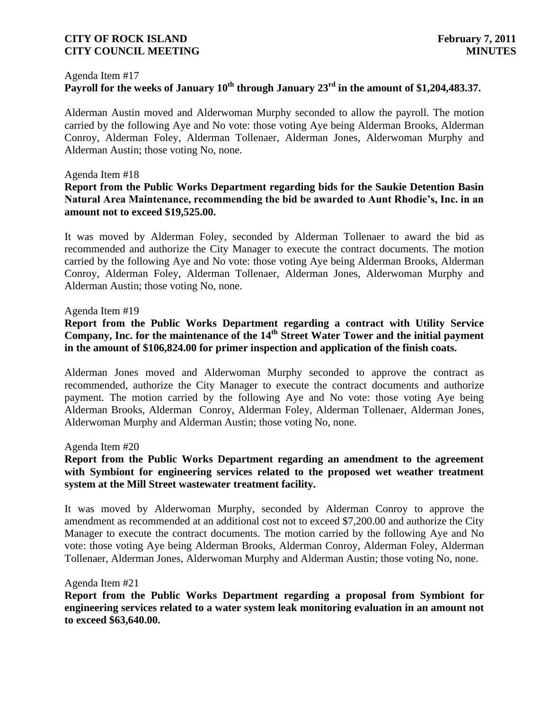#### Agenda Item #17

# **Payroll for the weeks of January 10th through January 23 rd in the amount of \$1,204,483.37.**

Alderman Austin moved and Alderwoman Murphy seconded to allow the payroll. The motion carried by the following Aye and No vote: those voting Aye being Alderman Brooks, Alderman Conroy, Alderman Foley, Alderman Tollenaer, Alderman Jones, Alderwoman Murphy and Alderman Austin; those voting No, none.

#### Agenda Item #18

#### **Report from the Public Works Department regarding bids for the Saukie Detention Basin Natural Area Maintenance, recommending the bid be awarded to Aunt Rhodie's, Inc. in an amount not to exceed \$19,525.00.**

It was moved by Alderman Foley, seconded by Alderman Tollenaer to award the bid as recommended and authorize the City Manager to execute the contract documents. The motion carried by the following Aye and No vote: those voting Aye being Alderman Brooks, Alderman Conroy, Alderman Foley, Alderman Tollenaer, Alderman Jones, Alderwoman Murphy and Alderman Austin; those voting No, none.

#### Agenda Item #19

# **Report from the Public Works Department regarding a contract with Utility Service Company, Inc. for the maintenance of the 14th Street Water Tower and the initial payment in the amount of \$106,824.00 for primer inspection and application of the finish coats.**

Alderman Jones moved and Alderwoman Murphy seconded to approve the contract as recommended, authorize the City Manager to execute the contract documents and authorize payment. The motion carried by the following Aye and No vote: those voting Aye being Alderman Brooks, Alderman Conroy, Alderman Foley, Alderman Tollenaer, Alderman Jones, Alderwoman Murphy and Alderman Austin; those voting No, none.

#### Agenda Item #20

# **Report from the Public Works Department regarding an amendment to the agreement with Symbiont for engineering services related to the proposed wet weather treatment system at the Mill Street wastewater treatment facility.**

It was moved by Alderwoman Murphy, seconded by Alderman Conroy to approve the amendment as recommended at an additional cost not to exceed \$7,200.00 and authorize the City Manager to execute the contract documents. The motion carried by the following Aye and No vote: those voting Aye being Alderman Brooks, Alderman Conroy, Alderman Foley, Alderman Tollenaer, Alderman Jones, Alderwoman Murphy and Alderman Austin; those voting No, none.

#### Agenda Item #21

**Report from the Public Works Department regarding a proposal from Symbiont for engineering services related to a water system leak monitoring evaluation in an amount not to exceed \$63,640.00.**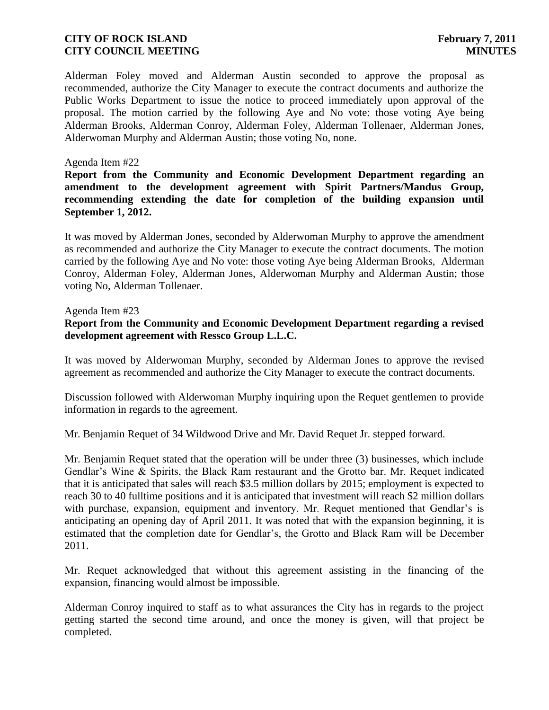Alderman Foley moved and Alderman Austin seconded to approve the proposal as recommended, authorize the City Manager to execute the contract documents and authorize the Public Works Department to issue the notice to proceed immediately upon approval of the proposal. The motion carried by the following Aye and No vote: those voting Aye being Alderman Brooks, Alderman Conroy, Alderman Foley, Alderman Tollenaer, Alderman Jones, Alderwoman Murphy and Alderman Austin; those voting No, none.

#### Agenda Item #22

**Report from the Community and Economic Development Department regarding an amendment to the development agreement with Spirit Partners/Mandus Group, recommending extending the date for completion of the building expansion until September 1, 2012.**

It was moved by Alderman Jones, seconded by Alderwoman Murphy to approve the amendment as recommended and authorize the City Manager to execute the contract documents. The motion carried by the following Aye and No vote: those voting Aye being Alderman Brooks, Alderman Conroy, Alderman Foley, Alderman Jones, Alderwoman Murphy and Alderman Austin; those voting No, Alderman Tollenaer.

#### Agenda Item #23

#### **Report from the Community and Economic Development Department regarding a revised development agreement with Ressco Group L.L.C.**

It was moved by Alderwoman Murphy, seconded by Alderman Jones to approve the revised agreement as recommended and authorize the City Manager to execute the contract documents.

Discussion followed with Alderwoman Murphy inquiring upon the Requet gentlemen to provide information in regards to the agreement.

Mr. Benjamin Requet of 34 Wildwood Drive and Mr. David Requet Jr. stepped forward.

Mr. Benjamin Requet stated that the operation will be under three (3) businesses, which include Gendlar's Wine & Spirits, the Black Ram restaurant and the Grotto bar. Mr. Requet indicated that it is anticipated that sales will reach \$3.5 million dollars by 2015; employment is expected to reach 30 to 40 fulltime positions and it is anticipated that investment will reach \$2 million dollars with purchase, expansion, equipment and inventory. Mr. Requet mentioned that Gendlar's is anticipating an opening day of April 2011. It was noted that with the expansion beginning, it is estimated that the completion date for Gendlar's, the Grotto and Black Ram will be December 2011.

Mr. Requet acknowledged that without this agreement assisting in the financing of the expansion, financing would almost be impossible.

Alderman Conroy inquired to staff as to what assurances the City has in regards to the project getting started the second time around, and once the money is given, will that project be completed.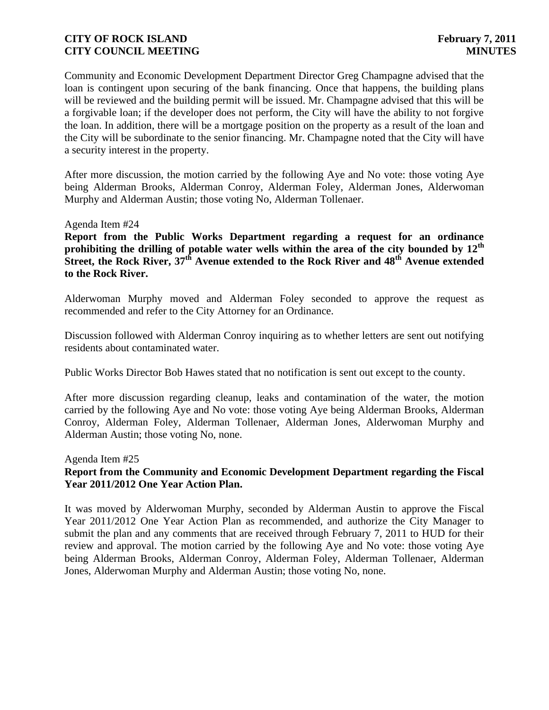Community and Economic Development Department Director Greg Champagne advised that the loan is contingent upon securing of the bank financing. Once that happens, the building plans will be reviewed and the building permit will be issued. Mr. Champagne advised that this will be a forgivable loan; if the developer does not perform, the City will have the ability to not forgive the loan. In addition, there will be a mortgage position on the property as a result of the loan and the City will be subordinate to the senior financing. Mr. Champagne noted that the City will have a security interest in the property.

After more discussion, the motion carried by the following Aye and No vote: those voting Aye being Alderman Brooks, Alderman Conroy, Alderman Foley, Alderman Jones, Alderwoman Murphy and Alderman Austin; those voting No, Alderman Tollenaer.

Agenda Item #24

**Report from the Public Works Department regarding a request for an ordinance prohibiting the drilling of potable water wells within the area of the city bounded by 12th Street, the Rock River, 37th Avenue extended to the Rock River and 48th Avenue extended to the Rock River.**

Alderwoman Murphy moved and Alderman Foley seconded to approve the request as recommended and refer to the City Attorney for an Ordinance.

Discussion followed with Alderman Conroy inquiring as to whether letters are sent out notifying residents about contaminated water.

Public Works Director Bob Hawes stated that no notification is sent out except to the county.

After more discussion regarding cleanup, leaks and contamination of the water, the motion carried by the following Aye and No vote: those voting Aye being Alderman Brooks, Alderman Conroy, Alderman Foley, Alderman Tollenaer, Alderman Jones, Alderwoman Murphy and Alderman Austin; those voting No, none.

Agenda Item #25

# **Report from the Community and Economic Development Department regarding the Fiscal Year 2011/2012 One Year Action Plan.**

It was moved by Alderwoman Murphy, seconded by Alderman Austin to approve the Fiscal Year 2011/2012 One Year Action Plan as recommended, and authorize the City Manager to submit the plan and any comments that are received through February 7, 2011 to HUD for their review and approval. The motion carried by the following Aye and No vote: those voting Aye being Alderman Brooks, Alderman Conroy, Alderman Foley, Alderman Tollenaer, Alderman Jones, Alderwoman Murphy and Alderman Austin; those voting No, none.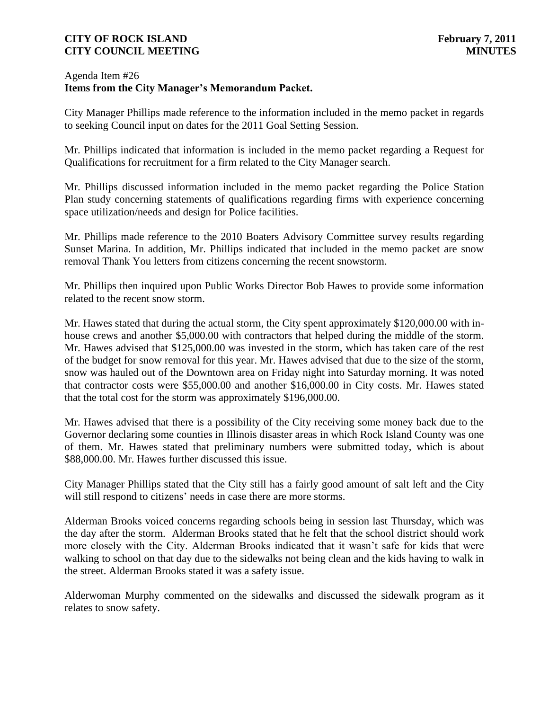## Agenda Item #26 **Items from the City Manager's Memorandum Packet.**

City Manager Phillips made reference to the information included in the memo packet in regards to seeking Council input on dates for the 2011 Goal Setting Session.

Mr. Phillips indicated that information is included in the memo packet regarding a Request for Qualifications for recruitment for a firm related to the City Manager search.

Mr. Phillips discussed information included in the memo packet regarding the Police Station Plan study concerning statements of qualifications regarding firms with experience concerning space utilization/needs and design for Police facilities.

Mr. Phillips made reference to the 2010 Boaters Advisory Committee survey results regarding Sunset Marina. In addition, Mr. Phillips indicated that included in the memo packet are snow removal Thank You letters from citizens concerning the recent snowstorm.

Mr. Phillips then inquired upon Public Works Director Bob Hawes to provide some information related to the recent snow storm.

Mr. Hawes stated that during the actual storm, the City spent approximately \$120,000.00 with inhouse crews and another \$5,000.00 with contractors that helped during the middle of the storm. Mr. Hawes advised that \$125,000.00 was invested in the storm, which has taken care of the rest of the budget for snow removal for this year. Mr. Hawes advised that due to the size of the storm, snow was hauled out of the Downtown area on Friday night into Saturday morning. It was noted that contractor costs were \$55,000.00 and another \$16,000.00 in City costs. Mr. Hawes stated that the total cost for the storm was approximately \$196,000.00.

Mr. Hawes advised that there is a possibility of the City receiving some money back due to the Governor declaring some counties in Illinois disaster areas in which Rock Island County was one of them. Mr. Hawes stated that preliminary numbers were submitted today, which is about \$88,000.00. Mr. Hawes further discussed this issue.

City Manager Phillips stated that the City still has a fairly good amount of salt left and the City will still respond to citizens' needs in case there are more storms.

Alderman Brooks voiced concerns regarding schools being in session last Thursday, which was the day after the storm. Alderman Brooks stated that he felt that the school district should work more closely with the City. Alderman Brooks indicated that it wasn't safe for kids that were walking to school on that day due to the sidewalks not being clean and the kids having to walk in the street. Alderman Brooks stated it was a safety issue.

Alderwoman Murphy commented on the sidewalks and discussed the sidewalk program as it relates to snow safety.